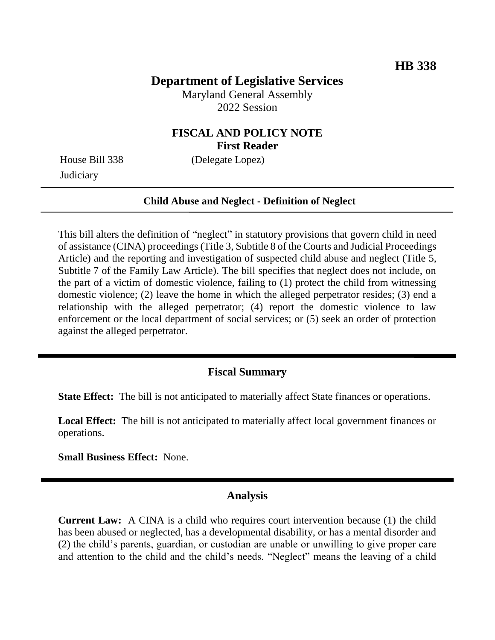# **Department of Legislative Services**

Maryland General Assembly 2022 Session

## **FISCAL AND POLICY NOTE First Reader**

**Judiciary** 

House Bill 338 (Delegate Lopez)

### **Child Abuse and Neglect - Definition of Neglect**

This bill alters the definition of "neglect" in statutory provisions that govern child in need of assistance (CINA) proceedings (Title 3, Subtitle 8 of the Courts and Judicial Proceedings Article) and the reporting and investigation of suspected child abuse and neglect (Title 5, Subtitle 7 of the Family Law Article). The bill specifies that neglect does not include, on the part of a victim of domestic violence, failing to (1) protect the child from witnessing domestic violence; (2) leave the home in which the alleged perpetrator resides; (3) end a relationship with the alleged perpetrator; (4) report the domestic violence to law enforcement or the local department of social services; or (5) seek an order of protection against the alleged perpetrator.

### **Fiscal Summary**

**State Effect:** The bill is not anticipated to materially affect State finances or operations.

**Local Effect:** The bill is not anticipated to materially affect local government finances or operations.

**Small Business Effect:** None.

### **Analysis**

**Current Law:** A CINA is a child who requires court intervention because (1) the child has been abused or neglected, has a developmental disability, or has a mental disorder and (2) the child's parents, guardian, or custodian are unable or unwilling to give proper care and attention to the child and the child's needs. "Neglect" means the leaving of a child